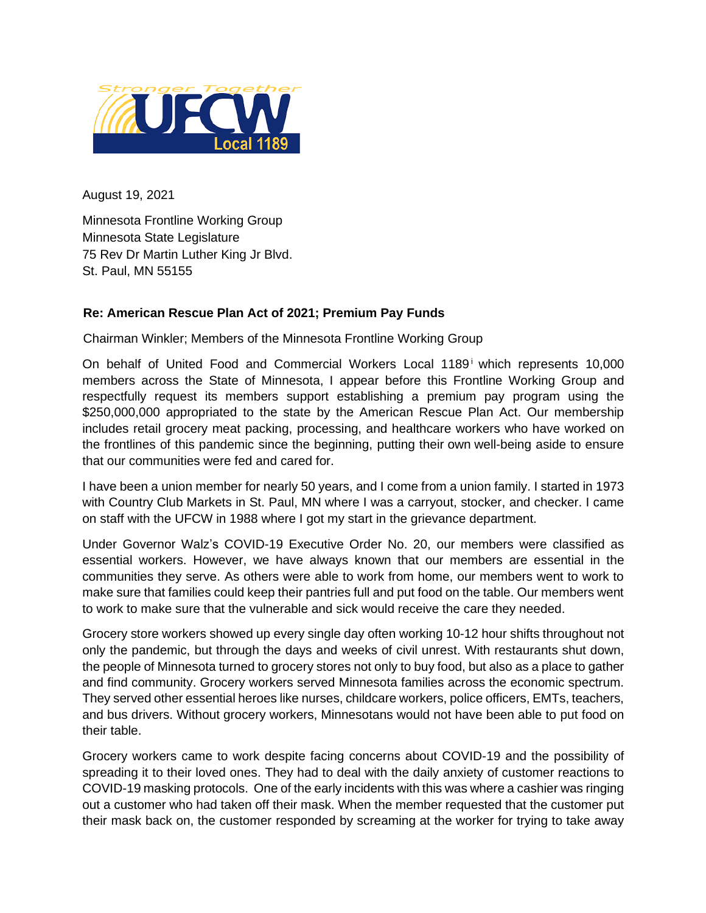

August 19, 2021

Minnesota Frontline Working Group Minnesota State Legislature 75 Rev Dr Martin Luther King Jr Blvd. St. Paul, MN 55155

## **Re: American Rescue Plan Act of 2021; Premium Pay Funds**

Chairman Winkler; Members of the Minnesota Frontline Working Group

On behalf of United Food and Commercial Workers Local 1189<sup>i</sup> which represents 10,000 members across the State of Minnesota, I appear before this Frontline Working Group and respectfully request its members support establishing a premium pay program using the \$250,000,000 appropriated to the state by the American Rescue Plan Act. Our membership includes retail grocery meat packing, processing, and healthcare workers who have worked on the frontlines of this pandemic since the beginning, putting their own well-being aside to ensure that our communities were fed and cared for.

I have been a union member for nearly 50 years, and I come from a union family. I started in 1973 with Country Club Markets in St. Paul, MN where I was a carryout, stocker, and checker. I came on staff with the UFCW in 1988 where I got my start in the grievance department.

Under Governor Walz's COVID-19 Executive Order No. 20, our members were classified as essential workers. However, we have always known that our members are essential in the communities they serve. As others were able to work from home, our members went to work to make sure that families could keep their pantries full and put food on the table. Our members went to work to make sure that the vulnerable and sick would receive the care they needed.

Grocery store workers showed up every single day often working 10-12 hour shifts throughout not only the pandemic, but through the days and weeks of civil unrest. With restaurants shut down, the people of Minnesota turned to grocery stores not only to buy food, but also as a place to gather and find community. Grocery workers served Minnesota families across the economic spectrum. They served other essential heroes like nurses, childcare workers, police officers, EMTs, teachers, and bus drivers. Without grocery workers, Minnesotans would not have been able to put food on their table.

Grocery workers came to work despite facing concerns about COVID-19 and the possibility of spreading it to their loved ones. They had to deal with the daily anxiety of customer reactions to COVID-19 masking protocols. One of the early incidents with this was where a cashier was ringing out a customer who had taken off their mask. When the member requested that the customer put their mask back on, the customer responded by screaming at the worker for trying to take away